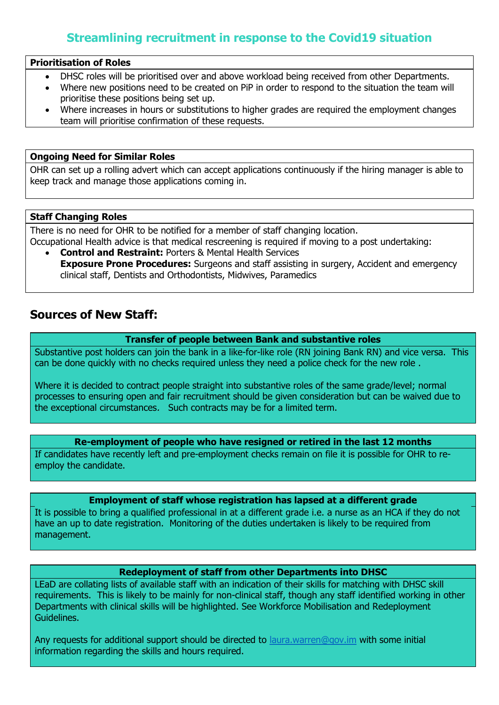## **Streamlining recruitment in response to the Covid19 situation**

#### **Prioritisation of Roles**

- DHSC roles will be prioritised over and above workload being received from other Departments.
- Where new positions need to be created on PiP in order to respond to the situation the team will prioritise these positions being set up.
- Where increases in hours or substitutions to higher grades are required the employment changes team will prioritise confirmation of these requests.

### **Ongoing Need for Similar Roles**

OHR can set up a rolling advert which can accept applications continuously if the hiring manager is able to keep track and manage those applications coming in.

#### **Staff Changing Roles**

There is no need for OHR to be notified for a member of staff changing location.

Occupational Health advice is that medical rescreening is required if moving to a post undertaking: **Control and Restraint:** Porters & Mental Health Services

**Exposure Prone Procedures:** Surgeons and staff assisting in surgery, Accident and emergency clinical staff, Dentists and Orthodontists, Midwives, Paramedics

## **Sources of New Staff:**

### **Transfer of people between Bank and substantive roles**

Substantive post holders can join the bank in a like-for-like role (RN joining Bank RN) and vice versa. This can be done quickly with no checks required unless they need a police check for the new role .

Where it is decided to contract people straight into substantive roles of the same grade/level; normal processes to ensuring open and fair recruitment should be given consideration but can be waived due to the exceptional circumstances. Such contracts may be for a limited term.

**Re-employment of people who have resigned or retired in the last 12 months**

If candidates have recently left and pre-employment checks remain on file it is possible for OHR to reemploy the candidate.

### **Employment of staff whose registration has lapsed at a different grade**

It is possible to bring a qualified professional in at a different grade i.e. a nurse as an HCA if they do not have an up to date registration. Monitoring of the duties undertaken is likely to be required from management.

### **Redeployment of staff from other Departments into DHSC**

LEaD are collating lists of available staff with an indication of their skills for matching with DHSC skill requirements. This is likely to be mainly for non-clinical staff, though any staff identified working in other Departments with clinical skills will be highlighted. See Workforce Mobilisation and Redeployment Guidelines.

Any requests for additional support should be directed to [laura.warren@gov.im](mailto:laura.warren@gov.im) with some initial information regarding the skills and hours required.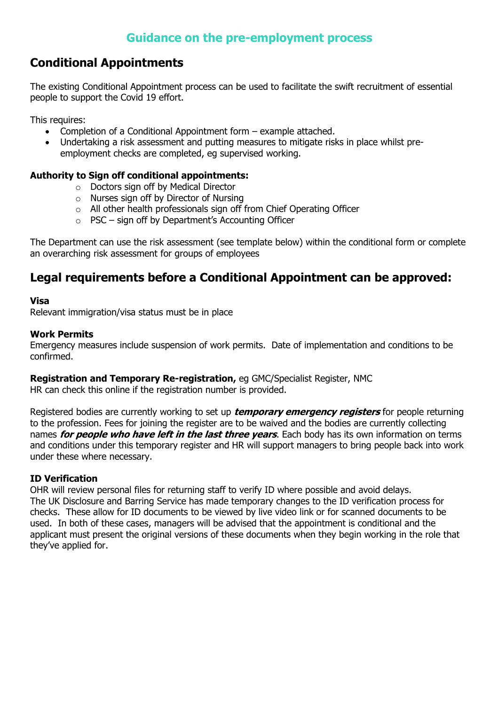# **Conditional Appointments**

The existing Conditional Appointment process can be used to facilitate the swift recruitment of essential people to support the Covid 19 effort.

This requires:

- Completion of a Conditional Appointment form example attached.
- Undertaking a risk assessment and putting measures to mitigate risks in place whilst preemployment checks are completed, eg supervised working.

## **Authority to Sign off conditional appointments:**

- o Doctors sign off by Medical Director
- o Nurses sign off by Director of Nursing
- o All other health professionals sign off from Chief Operating Officer
- o PSC sign off by Department's Accounting Officer

The Department can use the risk assessment (see template below) within the conditional form or complete an overarching risk assessment for groups of employees

## **Legal requirements before a Conditional Appointment can be approved:**

## **Visa**

Relevant immigration/visa status must be in place

## **Work Permits**

Emergency measures include suspension of work permits. Date of implementation and conditions to be confirmed.

## **Registration and Temporary Re-registration,** eg GMC/Specialist Register, NMC

HR can check this online if the registration number is provided.

Registered bodies are currently working to set up **temporary emergency registers** for people returning to the profession. Fees for joining the register are to be waived and the bodies are currently collecting names **for people who have left in the last three years**. Each body has its own information on terms and conditions under this temporary register and HR will support managers to bring people back into work under these where necessary.

## **ID Verification**

OHR will review personal files for returning staff to verify ID where possible and avoid delays. The UK Disclosure and Barring Service has made temporary changes to the ID verification process for checks. These allow for ID documents to be viewed by live video link or for scanned documents to be used. In both of these cases, managers will be advised that the appointment is conditional and the applicant must present the original versions of these documents when they begin working in the role that they've applied for.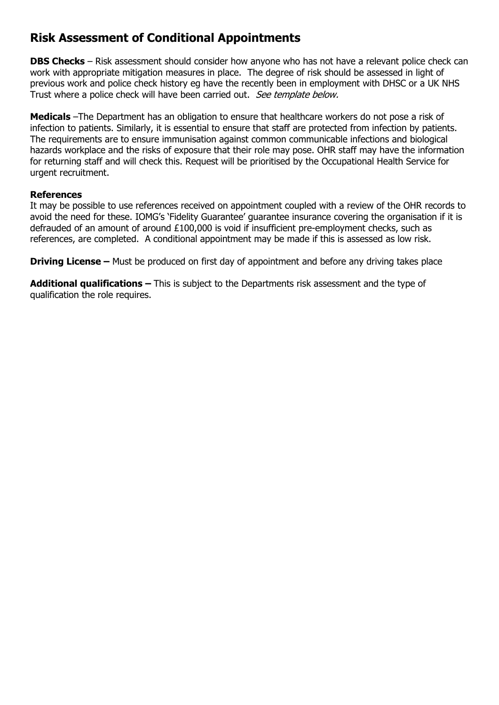## **Risk Assessment of Conditional Appointments**

**DBS Checks** – Risk assessment should consider how anyone who has not have a relevant police check can work with appropriate mitigation measures in place. The degree of risk should be assessed in light of previous work and police check history eg have the recently been in employment with DHSC or a UK NHS Trust where a police check will have been carried out. See template below.

**Medicals** –The Department has an obligation to ensure that healthcare workers do not pose a risk of infection to patients. Similarly, it is essential to ensure that staff are protected from infection by patients. The requirements are to ensure immunisation against common communicable infections and biological hazards workplace and the risks of exposure that their role may pose. OHR staff may have the information for returning staff and will check this. Request will be prioritised by the Occupational Health Service for urgent recruitment.

### **References**

It may be possible to use references received on appointment coupled with a review of the OHR records to avoid the need for these. IOMG's 'Fidelity Guarantee' guarantee insurance covering the organisation if it is defrauded of an amount of around £100,000 is void if insufficient pre-employment checks, such as references, are completed. A conditional appointment may be made if this is assessed as low risk.

**Driving License –** Must be produced on first day of appointment and before any driving takes place

**Additional qualifications –** This is subject to the Departments risk assessment and the type of qualification the role requires.